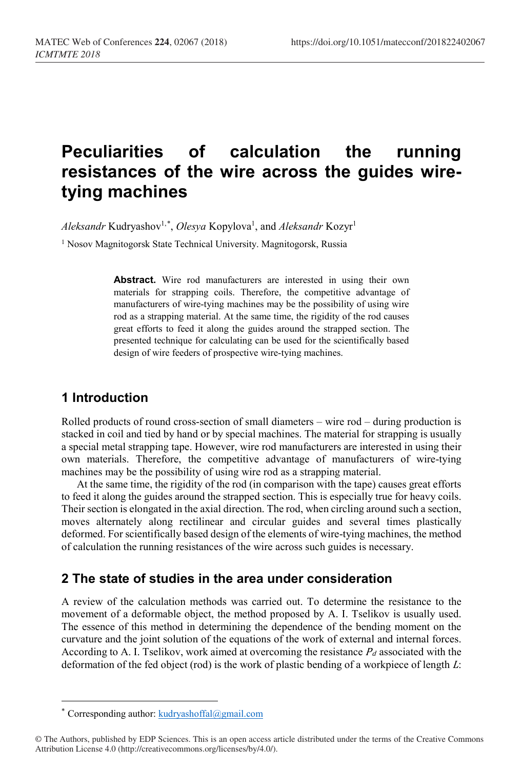# **Peculiarities of calculation the running resistances of the wire across the guides wiretying machines**

Aleksandr Kudryashov<sup>1,[\\*](#page-0-0)</sup>, Olesya Kopylova<sup>1</sup>, and Aleksandr Kozyr<sup>1</sup>

<sup>1</sup> Nosov Magnitogorsk State Technical University. Magnitogorsk, Russia

**Abstract.** Wire rod manufacturers are interested in using their own materials for strapping coils. Therefore, the competitive advantage of manufacturers of wire-tying machines may be the possibility of using wire rod as a strapping material. At the same time, the rigidity of the rod causes great efforts to feed it along the guides around the strapped section. The presented technique for calculating can be used for the scientifically based design of wire feeders of prospective wire-tying machines.

## **1 Introduction**

Rolled products of round cross-section of small diameters – wire rod – during production is stacked in coil and tied by hand or by special machines. The material for strapping is usually a special metal strapping tape. However, wire rod manufacturers are interested in using their own materials. Therefore, the competitive advantage of manufacturers of wire-tying machines may be the possibility of using wire rod as a strapping material.

At the same time, the rigidity of the rod (in comparison with the tape) causes great efforts to feed it along the guides around the strapped section. This is especially true for heavy coils. Their section is elongated in the axial direction. The rod, when circling around such a section, moves alternately along rectilinear and circular guides and several times plastically deformed. For scientifically based design of the elements of wire-tying machines, the method of calculation the running resistances of the wire across such guides is necessary.

#### **2 The state of studies in the area under consideration**

A review of the calculation methods was carried out. To determine the resistance to the movement of a deformable object, the method proposed by A. I. Tselikov is usually used. The essence of this method in determining the dependence of the bending moment on the curvature and the joint solution of the equations of the work of external and internal forces. According to A. I. Tselikov, work aimed at overcoming the resistance  $P_d$  associated with the deformation of the fed object (rod) is the work of plastic bending of a workpiece of length L:

 $\overline{a}$ 

<sup>\*</sup> Corresponding author:  $kudryashoffal@gmail.com$ 

<span id="page-0-0"></span><sup>©</sup> The Authors, published by EDP Sciences. This is an open access article distributed under the terms of the Creative Commons Attribution License 4.0 (http://creativecommons.org/licenses/by/4.0/).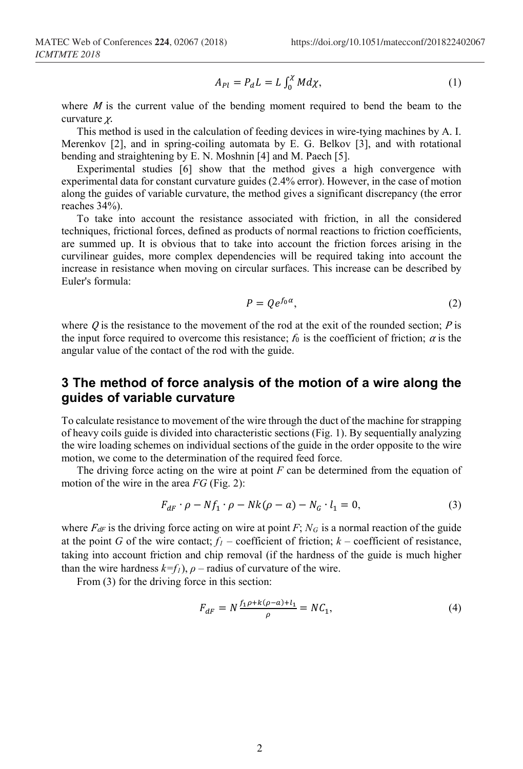$$
A_{Pl} = P_d L = L \int_0^\chi M d\chi,\tag{1}
$$

where  $M$  is the current value of the bending moment required to bend the beam to the curvature χ.

This method is used in the calculation of feeding devices in wire-tying machines by A. I. Merenkov [2], and in spring-coiling automata by E. G. Belkov [3], and with rotational bending and straightening by E. N. Moshnin [4] and M. Paech [5].

Experimental studies [6] show that the method gives a high convergence with experimental data for constant curvature guides (2.4% error). However, in the case of motion along the guides of variable curvature, the method gives a significant discrepancy (the error reaches 34%).

To take into account the resistance associated with friction, in all the considered techniques, frictional forces, defined as products of normal reactions to friction coefficients, are summed up. It is obvious that to take into account the friction forces arising in the curvilinear guides, more complex dependencies will be required taking into account the increase in resistance when moving on circular surfaces. This increase can be described by Euler's formula:

$$
P = Qe^{f_0\alpha},\tag{2}
$$

where  $\hat{Q}$  is the resistance to the movement of the rod at the exit of the rounded section;  $\hat{P}$  is the input force required to overcome this resistance;  $f_0$  is the coefficient of friction;  $\alpha$  is the angular value of the contact of the rod with the guide.

### **3 The method of force analysis of the motion of a wire along the guides of variable curvature**

To calculate resistance to movement of the wire through the duct of the machine for strapping of heavy coils guide is divided into characteristic sections (Fig. 1). By sequentially analyzing the wire loading schemes on individual sections of the guide in the order opposite to the wire motion, we come to the determination of the required feed force.

The driving force acting on the wire at point *F* can be determined from the equation of motion of the wire in the area *FG* (Fig. 2):

$$
F_{dF} \cdot \rho - Nf_1 \cdot \rho - Nk(\rho - a) - N_G \cdot l_1 = 0,\tag{3}
$$

where  $F_{dF}$  is the driving force acting on wire at point  $F$ ;  $N_G$  is a normal reaction of the guide at the point *G* of the wire contact;  $f_1$  – coefficient of friction;  $k$  – coefficient of resistance, taking into account friction and chip removal (if the hardness of the guide is much higher than the wire hardness  $k=f_1$ ,  $\rho$  – radius of curvature of the wire.

From (3) for the driving force in this section:

$$
F_{dF} = N \frac{f_1 \rho + k(\rho - a) + l_1}{\rho} = N C_1,\tag{4}
$$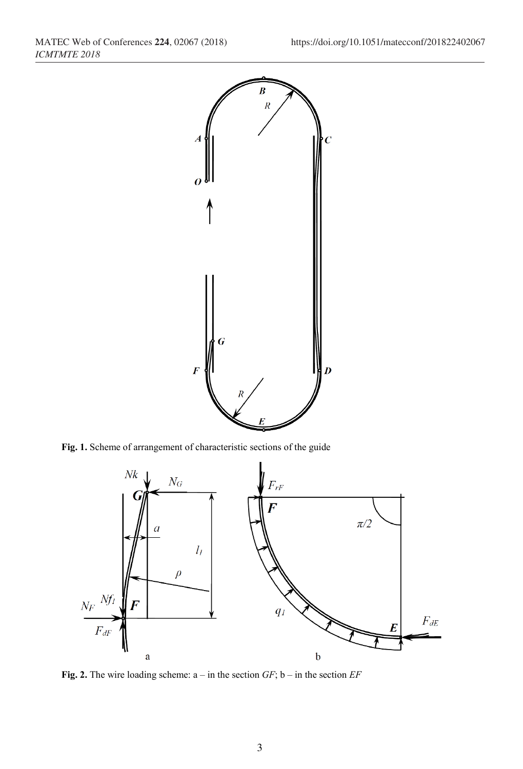

**Fig. 1.** Scheme of arrangement of characteristic sections of the guide



**Fig. 2.** The wire loading scheme: a – in the section *GF*; b – in the section *EF*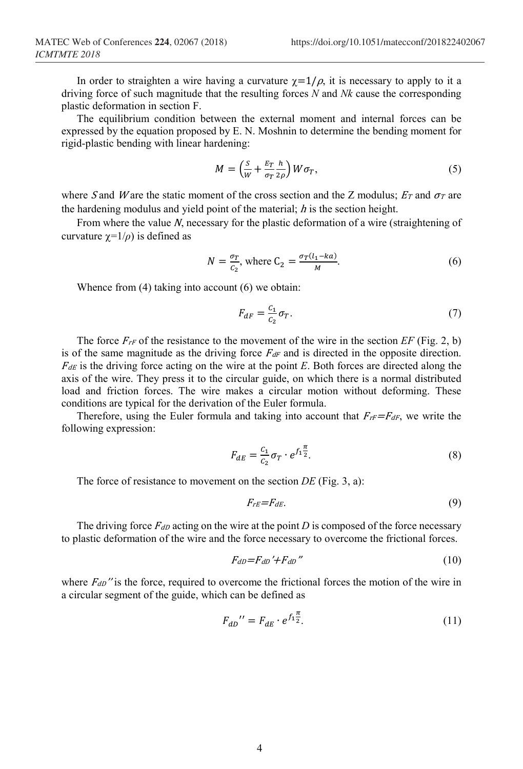In order to straighten a wire having a curvature  $\chi=1/\rho$ , it is necessary to apply to it a driving force of such magnitude that the resulting forces *N* and *Nk* cause the corresponding plastic deformation in section F.

The equilibrium condition between the external moment and internal forces can be expressed by the equation proposed by E. N. Moshnin to determine the bending moment for rigid-plastic bending with linear hardening:

$$
M = \left(\frac{S}{W} + \frac{E_T}{\sigma_T} \frac{h}{2\rho}\right) W \sigma_T, \tag{5}
$$

where S and W are the static moment of the cross section and the Z modulus;  $E_T$  and  $\sigma_T$  are the hardening modulus and yield point of the material;  $h$  is the section height.

From where the value N, necessary for the plastic deformation of a wire (straightening of curvature  $\gamma=1/\rho$ ) is defined as

$$
N = \frac{\sigma_T}{c_2}, \text{ where } C_2 = \frac{\sigma_T (l_1 - ka)}{M}.
$$
 (6)

Whence from (4) taking into account (6) we obtain:

$$
F_{dF} = \frac{c_1}{c_2} \sigma_T. \tag{7}
$$

The force  $F_{rF}$  of the resistance to the movement of the wire in the section  $EF$  (Fig. 2, b) is of the same magnitude as the driving force  $F<sub>df</sub>$  and is directed in the opposite direction.  $F_{dE}$  is the driving force acting on the wire at the point *E*. Both forces are directed along the axis of the wire. They press it to the circular guide, on which there is a normal distributed load and friction forces. The wire makes a circular motion without deforming. These conditions are typical for the derivation of the Euler formula.

Therefore, using the Euler formula and taking into account that  $F_{\text{rf}}=F_{\text{df}}$ , we write the following expression:

$$
F_{dE} = \frac{c_1}{c_2} \sigma_T \cdot e^{f_1 \frac{\pi}{2}}.
$$
 (8)

The force of resistance to movement on the section *DE* (Fig. 3, a):

$$
F_{rE} = F_{dE}.\tag{9}
$$

The driving force  $F_{dD}$  acting on the wire at the point *D* is composed of the force necessary to plastic deformation of the wire and the force necessary to overcome the frictional forces.

$$
F_{dD} = F_{dD}^{\prime} + F_{dD}^{\prime\prime} \tag{10}
$$

where  $F_{dD}$ " is the force, required to overcome the frictional forces the motion of the wire in a circular segment of the guide, which can be defined as

$$
F_{dD}^{\ \prime} = F_{dE} \cdot e^{f_1 \frac{\pi}{2}}.
$$
\n(11)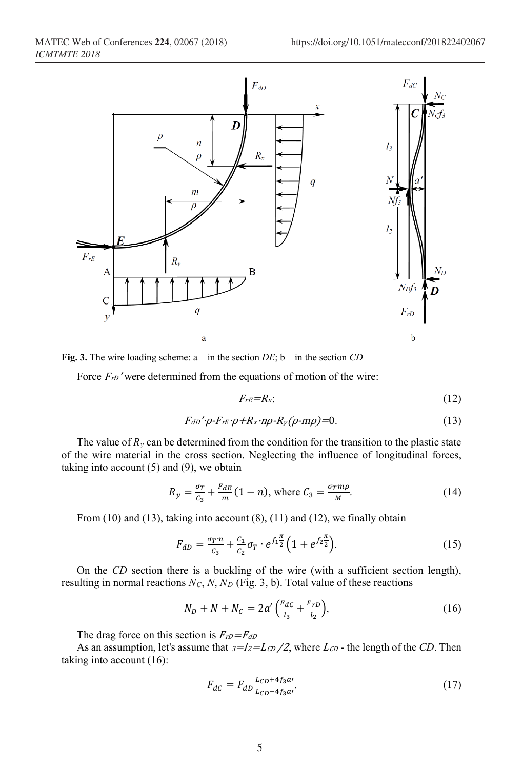

**Fig. 3.** The wire loading scheme: a – in the section *DE*; b – in the section *CD*

Force  $F_{rD}$ ' were determined from the equations of motion of the wire:

$$
F_{rE}=R_x;\t\t(12)
$$

$$
F_{dD}\prime\rho-F_{rE}\cdot\rho+R_x\cdot n\rho\cdot R_y(\rho\cdot m\rho)=0.
$$
\n(13)

The value of  $R<sub>y</sub>$  can be determined from the condition for the transition to the plastic state of the wire material in the cross section. Neglecting the influence of longitudinal forces, taking into account  $(5)$  and  $(9)$ , we obtain

$$
R_y = \frac{\sigma_T}{c_3} + \frac{F_{dE}}{m} (1 - n), \text{ where } C_3 = \frac{\sigma_T m \rho}{M}.
$$
 (14)

From  $(10)$  and  $(13)$ , taking into account  $(8)$ ,  $(11)$  and  $(12)$ , we finally obtain

$$
F_{dD} = \frac{\sigma_{T} n}{c_3} + \frac{c_1}{c_2} \sigma_T \cdot e^{f_1 \frac{\pi}{2}} \left( 1 + e^{f_2 \frac{\pi}{2}} \right).
$$
 (15)

On the *CD* section there is a buckling of the wire (with a sufficient section length), resulting in normal reactions  $N_C$ ,  $N$ ,  $N_D$  (Fig. 3, b). Total value of these reactions

$$
N_D + N + N_C = 2a' \left( \frac{F_{dC}}{l_3} + \frac{F_{rD}}{l_2} \right),\tag{16}
$$

The drag force on this section is  $F_{rD}=F_{dD}$ 

As an assumption, let's assume that  $3=I_2=L_{CD}/2$ , where  $L_{CD}$  - the length of the *CD*. Then taking into account (16):

$$
F_{dc} = F_{dD} \frac{L_{CD} + 4f_3 a}{L_{CD} - 4f_3 a'}.\tag{17}
$$